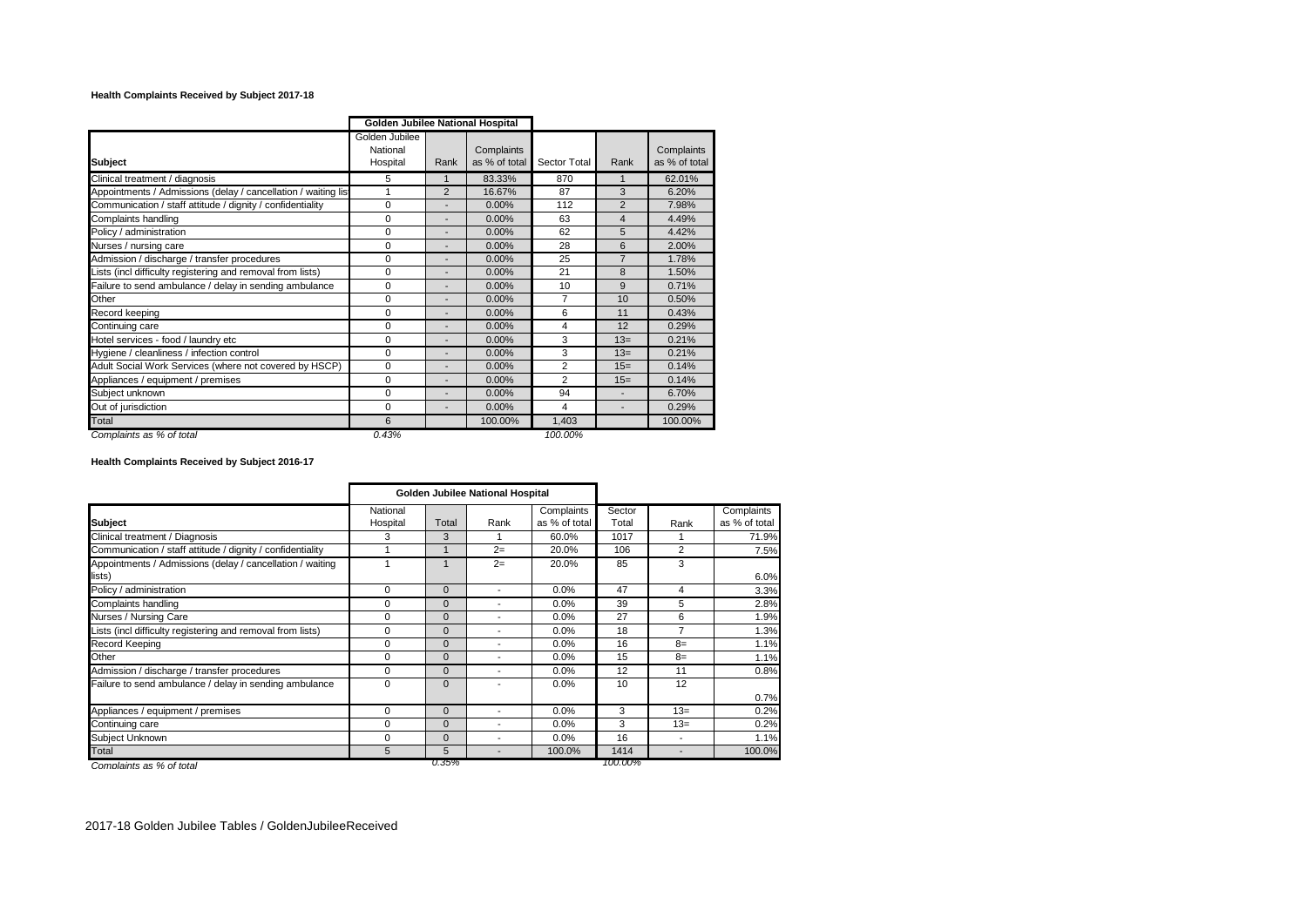## **Health Complaints Received by Subject 2017-18**

|                                                               | Golden Jubilee National Hospital       |                              |                             |              |                |                             |
|---------------------------------------------------------------|----------------------------------------|------------------------------|-----------------------------|--------------|----------------|-----------------------------|
| <b>Subject</b>                                                | Golden Jubilee<br>National<br>Hospital | Rank                         | Complaints<br>as % of total | Sector Total | Rank           | Complaints<br>as % of total |
| Clinical treatment / diagnosis                                | 5                                      | $\mathbf{1}$                 | 83.33%                      | 870          | 1              | 62.01%                      |
| Appointments / Admissions (delay / cancellation / waiting lis | 1                                      | $\overline{2}$               | 16.67%                      | 87           | 3              | 6.20%                       |
| Communication / staff attitude / dignity / confidentiality    | 0                                      | $\overline{a}$               | 0.00%                       | 112          | $\overline{2}$ | 7.98%                       |
| Complaints handling                                           | 0                                      | $\overline{a}$               | 0.00%                       | 63           | $\overline{4}$ | 4.49%                       |
| Policy / administration                                       | 0                                      | ٠                            | 0.00%                       | 62           | 5              | 4.42%                       |
| Nurses / nursing care                                         | 0                                      | ٠                            | 0.00%                       | 28           | 6              | 2.00%                       |
| Admission / discharge / transfer procedures                   | $\Omega$                               |                              | 0.00%                       | 25           | $\overline{7}$ | 1.78%                       |
| Lists (incl difficulty registering and removal from lists)    | $\Omega$                               | -                            | 0.00%                       | 21           | 8              | 1.50%                       |
| Failure to send ambulance / delay in sending ambulance        | 0                                      | $\overline{a}$               | 0.00%                       | 10           | 9              | 0.71%                       |
| Other                                                         | $\Omega$                               | $\overline{a}$               | 0.00%                       | 7            | 10             | 0.50%                       |
| Record keeping                                                | $\Omega$                               | $\overline{a}$               | 0.00%                       | 6            | 11             | 0.43%                       |
| Continuing care                                               | $\Omega$                               | $\overline{a}$               | 0.00%                       | 4            | 12             | 0.29%                       |
| Hotel services - food / laundry etc                           | $\Omega$                               | $\qquad \qquad \blacksquare$ | 0.00%                       | 3            | $13=$          | 0.21%                       |
| Hygiene / cleanliness / infection control                     | $\Omega$                               | $\overline{a}$               | 0.00%                       | 3            | $13=$          | 0.21%                       |
| Adult Social Work Services (where not covered by HSCP)        | $\Omega$                               | $\overline{a}$               | 0.00%                       | 2            | $15=$          | 0.14%                       |
| Appliances / equipment / premises                             | $\Omega$                               | $\qquad \qquad \blacksquare$ | 0.00%                       | 2            | $15=$          | 0.14%                       |
| Subject unknown                                               | $\Omega$                               | $\qquad \qquad \blacksquare$ | $0.00\%$                    | 94           | ٠              | 6.70%                       |
| Out of jurisdiction                                           | 0                                      | $\overline{a}$               | 0.00%                       | 4            | ٠              | 0.29%                       |
| Total                                                         | 6                                      |                              | 100.00%                     | 1,403        |                | 100.00%                     |
| Complaints as % of total                                      | 0.43%                                  |                              |                             | 100.00%      |                |                             |

**Health Complaints Received by Subject 2016-17**

|                                                            | Golden Jubilee National Hospital |             |      |               |         |       |               |
|------------------------------------------------------------|----------------------------------|-------------|------|---------------|---------|-------|---------------|
|                                                            | National                         |             |      | Complaints    | Sector  |       | Complaints    |
| <b>Subject</b>                                             | Hospital                         | Total       | Rank | as % of total | Total   | Rank  | as % of total |
| Clinical treatment / Diagnosis                             | 3                                | 3           |      | 60.0%         | 1017    |       | 71.9%         |
| Communication / staff attitude / dignity / confidentiality |                                  |             | $2=$ | 20.0%         | 106     | 2     | 7.5%          |
| Appointments / Admissions (delay / cancellation / waiting  |                                  |             | $2=$ | 20.0%         | 85      | 3     |               |
| lists)                                                     |                                  |             |      |               |         |       | 6.0%          |
| Policy / administration                                    | 0                                | $\mathbf 0$ | ٠    | 0.0%          | 47      | 4     | 3.3%          |
| Complaints handling                                        | $\Omega$                         | $\mathbf 0$ | ۰    | 0.0%          | 39      | 5     | 2.8%          |
| Nurses / Nursing Care                                      | 0                                | $\mathbf 0$ | ۰    | 0.0%          | 27      | 6     | 1.9%          |
| Lists (incl difficulty registering and removal from lists) | $\Omega$                         | $\mathbf 0$ | -    | 0.0%          | 18      | 7     | 1.3%          |
| Record Keeping                                             | 0                                | $\mathbf 0$ | ۰    | 0.0%          | 16      | $8=$  | 1.1%          |
| Other                                                      | $\Omega$                         | $\mathbf 0$ | ۰    | 0.0%          | 15      | $8=$  | 1.1%          |
| Admission / discharge / transfer procedures                | $\mathbf 0$                      | $\mathbf 0$ | ۰    | 0.0%          | 12      | 11    | 0.8%          |
| Failure to send ambulance / delay in sending ambulance     | $\Omega$                         | $\Omega$    | ٠    | 0.0%          | 10      | 12    |               |
|                                                            |                                  |             |      |               |         |       | 0.7%          |
| Appliances / equipment / premises                          | $\Omega$                         | $\Omega$    | ٠    | 0.0%          | 3       | $13=$ | 0.2%          |
| Continuing care                                            | $\Omega$                         | $\Omega$    | ٠    | 0.0%          | 3       | $13=$ | 0.2%          |
| Subject Unknown                                            | $\Omega$                         | $\Omega$    | ۰    | 0.0%          | 16      | ٠     | 1.1%          |
| <b>Total</b>                                               | 5                                | 5           |      | 100.0%        | 1414    |       | 100.0%        |
| Complaints as % of total                                   |                                  | U.35%       |      |               | 100.00% |       |               |